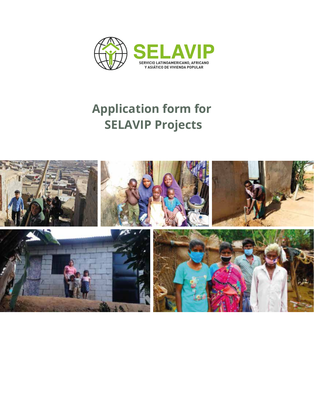

# **Application form for SELAVIP Projects**

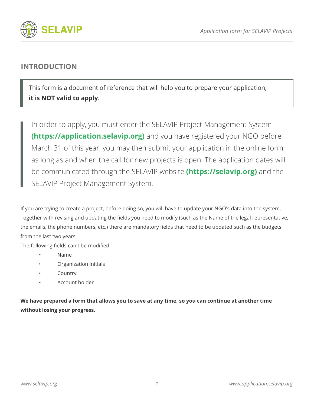



### **INTRODUCTION**

This form is a document of reference that will help you to prepare your application, **it is NOT valid to apply**.

In order to apply, you must enter the SELAVIP Project Management System **(https://application.selavip.org)** and you have registered your NGO before March 31 of this year, you may then submit your application in the online form as long as and when the call for new projects is open. The application dates will be communicated through the SELAVIP website **(https://selavip.org)** and the SELAVIP Project Management System.

If you are trying to create a project, before doing so, you will have to update your NGO's data into the system. Together with revising and updating the fields you need to modify (such as the Name of the legal representative, the emails, the phone numbers, etc.) there are mandatory fields that need to be updated such as the budgets from the last two years.

The following fields can't be modified:

- Name
- Organization initials
- **Country**
- Account holder

**We have prepared a form that allows you to save at any time, so you can continue at another time without losing your progress.**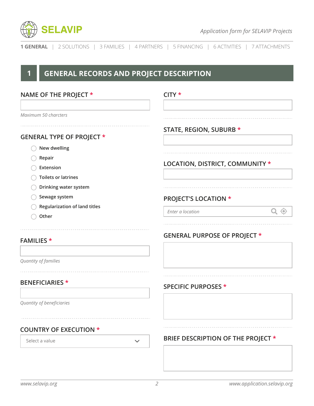

| <b>1 GENERAL</b>   2 SOLUTIONS   3 FAMILIES   4 PARTNERS   5 FINANCING   6 ACTIVITIES   7 ATTACHMENTS |  |
|-------------------------------------------------------------------------------------------------------|--|
|-------------------------------------------------------------------------------------------------------|--|

## **1 GENERAL RECORDS AND PROJECT DESCRIPTION**

| NAME OF THE PROJECT *                                                | $CITY*$                             |  |  |
|----------------------------------------------------------------------|-------------------------------------|--|--|
| Maximum 50 charcters                                                 |                                     |  |  |
| <b>GENERAL TYPE OF PROJECT *</b>                                     | STATE, REGION, SUBURB *             |  |  |
| New dwelling<br>Repair<br>Extension                                  | LOCATION, DISTRICT, COMMUNITY *     |  |  |
| <b>Toilets or latrines</b><br>Drinking water system<br>Sewage system | <b>PROJECT'S LOCATION *</b>         |  |  |
| Regularization of land titles<br>Other                               | Q<br>$\Theta$<br>Enter a location   |  |  |
| <b>FAMILIES</b> *                                                    | <b>GENERAL PURPOSE OF PROJECT *</b> |  |  |
| Quantity of families                                                 |                                     |  |  |
| <b>BENEFICIARIES</b> *                                               | <b>SPECIFIC PURPOSES *</b>          |  |  |
| Quantity of beneficiaries                                            |                                     |  |  |
| <b>COUNTRY OF EXECUTION *</b>                                        |                                     |  |  |
| Select a value<br>$\checkmark$                                       | BRIEF DESCRIPTION OF THE PROJECT *  |  |  |
|                                                                      |                                     |  |  |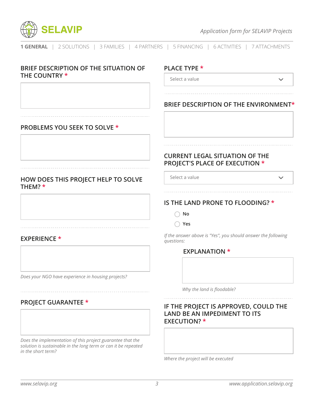

| BRIEF DESCRIPTION OF THE SITUATION OF                                                                                                              | <b>PLACE TYPE *</b>                                                                                 |
|----------------------------------------------------------------------------------------------------------------------------------------------------|-----------------------------------------------------------------------------------------------------|
| THE COUNTRY *                                                                                                                                      | Select a value                                                                                      |
|                                                                                                                                                    |                                                                                                     |
|                                                                                                                                                    | BRIEF DESCRIPTION OF THE ENVIRONMENT*                                                               |
| <b>PROBLEMS YOU SEEK TO SOLVE *</b>                                                                                                                |                                                                                                     |
|                                                                                                                                                    | <b>CURRENT LEGAL SITUATION OF THE</b><br><b>PROJECT'S PLACE OF EXECUTION *</b>                      |
| HOW DOES THIS PROJECT HELP TO SOLVE<br>THEM? *                                                                                                     | Select a value<br>$\checkmark$                                                                      |
|                                                                                                                                                    | IS THE LAND PRONE TO FLOODING? *                                                                    |
|                                                                                                                                                    | No                                                                                                  |
|                                                                                                                                                    | Yes<br>(                                                                                            |
| <b>EXPERIENCE *</b>                                                                                                                                | If the answer above is "Yes", you should answer the following<br>questions:                         |
|                                                                                                                                                    | <b>EXPLANATION *</b>                                                                                |
| Does your NGO have experience in housing projects?                                                                                                 |                                                                                                     |
|                                                                                                                                                    | Why the land is floodable?                                                                          |
| <b>PROJECT GUARANTEE *</b>                                                                                                                         | IF THE PROJECT IS APPROVED, COULD THE<br><b>LAND BE AN IMPEDIMENT TO ITS</b><br><b>EXECUTION?</b> * |
| Does the implementation of this project guarantee that the<br>solution is sustainable in the long term or can it be repeated<br>in the short term? |                                                                                                     |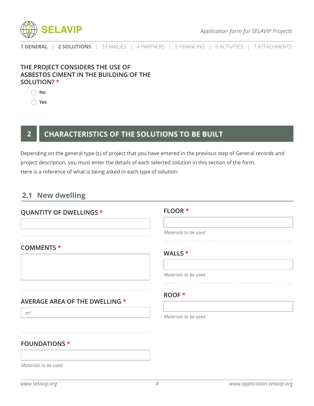

### **THE PROJECT CONSIDERS THE USE OF ASBESTOS CIMENT IN THE BUILDING OF THE SOLUTION? \***

**No**

**Yes**

### **2 CHARACTERISTICS OF THE SOLUTIONS TO BE BUILT**

Depending on the general type (s) of project that you have entered in the previous step of General records and project description, you must enter the details of each selected solution in this section of the form. Here is a reference of what is being asked in each type of solution:

### **2.1 New dwelling**

# **QUANTITY OF DWELLINGS \* COMMENTS \* AVERAGE AREA OF THE DWELLING \*** *m²* **FOUNDATIONS \*** *Materials to be used* **FLOOR \*** *Materials to be used* **WALLS \*** *Materials to be used* **ROOF \*** *Materials to be used*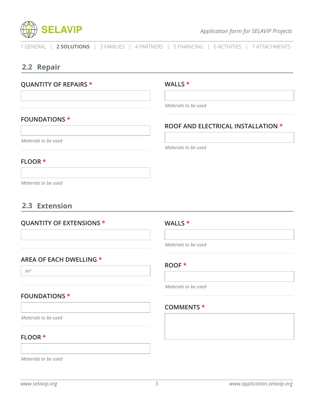

**ROOF AND ELECTRICAL INSTALLATION \***

1 GENERAL | **2 SOLUTIONS** | 3 FAMILIES| 4 PARTNERS | 5 FINANCING | 6 ACTIVITIES | 7 ATTACHMENTS

### **2.2 Repair**

### **QUANTITY OF REPAIRS \***

**WALLS \***

*Materials to be used*

*Materials to be used*

### **FOUNDATIONS \***

*Materials to be used*

### **FLOOR \***

*Materials to be used*

### **2.3 Extension**

### **QUANTITY OF EXTENSIONS \***

**AREA OF EACH DWELLING \***

# **WALLS \***

*Materials to be used*

### **ROOF \***

*Materials to be used*

### **COMMENTS \***

*Materials to be used* . . . . . . . . . . . . . . .

**FOUNDATIONS \***

#### **FLOOR \***

*m²*

*Materials to be used*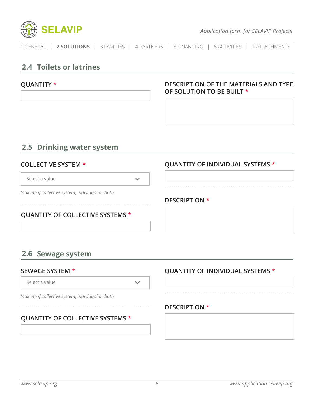

### **2.4 Toilets or latrines**

### **QUANTITY \* DESCRIPTION OF THE MATERIALS AND TYPE OF SOLUTION TO BE BUILT \***

### **2.5 Drinking water system**

### **COLLECTIVE SYSTEM \***

Select a value

 $\checkmark$ 

*Indicate if collective system, individual or both*

### **QUANTITY OF COLLECTIVE SYSTEMS \***

### **QUANTITY OF INDIVIDUAL SYSTEMS \***

### **DESCRIPTION \***

### **2.6 Sewage system**

#### **SEWAGE SYSTEM \***

Select a value

*Indicate if collective system, individual or both*

### **QUANTITY OF COLLECTIVE SYSTEMS \***

### **QUANTITY OF INDIVIDUAL SYSTEMS \***

### **DESCRIPTION \***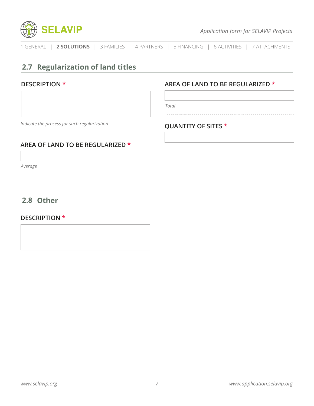

### **2.7 Regularization of land titles**

### **DESCRIPTION \***

*Indicate the process for such regularization*

### **AREA OF LAND TO BE REGULARIZED \***

*Average*

### **2.8 Other**

#### **DESCRIPTION \***

### **AREA OF LAND TO BE REGULARIZED \***

*Total*

### **QUANTITY OF SITES \***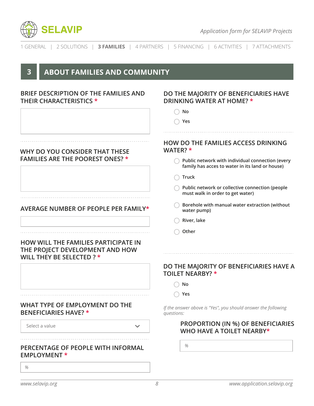| <b>SELAVIP</b>                                                                                              | <b>Application form for SELAVIP Projects</b>                                                        |
|-------------------------------------------------------------------------------------------------------------|-----------------------------------------------------------------------------------------------------|
| 2 SOLUTIONS   3 FAMILIES  <br>1 GENERAL                                                                     | 4 PARTNERS   5 FINANCING   6 ACTIVITIES   7 ATTACHMENTS                                             |
| <b>ABOUT FAMILIES AND COMMUNITY</b><br>3                                                                    |                                                                                                     |
| BRIEF DESCRIPTION OF THE FAMILIES AND<br><b>THEIR CHARACTERISTICS *</b>                                     | DO THE MAJORITY OF BENEFICIARIES HAVE<br>DRINKING WATER AT HOME? *                                  |
|                                                                                                             | No                                                                                                  |
|                                                                                                             | Yes                                                                                                 |
| WHY DO YOU CONSIDER THAT THESE                                                                              | <b>HOW DO THE FAMILIES ACCESS DRINKING</b><br>WATER? *                                              |
| <b>FAMILIES ARE THE POOREST ONES? *</b>                                                                     | Public network with individual connection (every<br>family has acces to water in its land or house) |
|                                                                                                             | <b>Truck</b>                                                                                        |
|                                                                                                             | Public network or collective connection (people<br>must walk in order to get water)                 |
| <b>AVERAGE NUMBER OF PEOPLE PER FAMILY*</b>                                                                 | Borehole with manual water extraction (without<br>water pump)                                       |
|                                                                                                             | River, lake                                                                                         |
|                                                                                                             | Other                                                                                               |
| <b>HOW WILL THE FAMILIES PARTICIPATE IN</b><br>THE PROJECT DEVELOPMENT AND HOW<br>WILL THEY BE SELECTED ? * |                                                                                                     |
|                                                                                                             | DO THE MAJORITY OF BENEFICIARIES HAVE A<br><b>TOILET NEARBY? *</b>                                  |
|                                                                                                             | No                                                                                                  |
|                                                                                                             | Yes                                                                                                 |
| WHAT TYPE OF EMPLOYMENT DO THE<br><b>BENEFICIARIES HAVE?</b> *                                              | If the answer above is "Yes", you should answer the following<br>questions:                         |
| Select a value<br>$\checkmark$                                                                              | <b>PROPORTION (IN %) OF BENEFICIARIES</b><br>WHO HAVE A TOILET NEARBY*                              |
| PERCENTAGE OF PEOPLE WITH INFORMAL<br><b>EMPLOYMENT *</b>                                                   | %                                                                                                   |
| %                                                                                                           |                                                                                                     |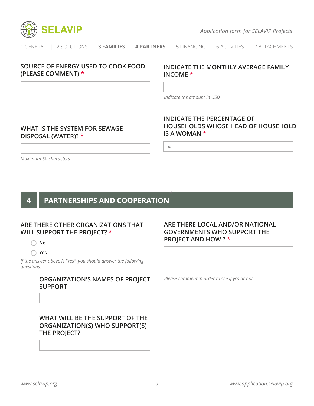

### **SOURCE OF ENERGY USED TO COOK FOOD (PLEASE COMMENT) \***

### **INDICATE THE MONTHLY AVERAGE FAMILY INCOME \***

*Indicate the amount in USD*

### **WHAT IS THE SYSTEM FOR SEWAGE DISPOSAL (WATER)? \***

### **INDICATE THE PERCENTAGE OF HOUSEHOLDS WHOSE HEAD OF HOUSEHOLD IS A WOMAN \***

*%*

*%*

*Maximum 50 characters*

### **4 PARTNERSHIPS AND COOPERATION**

### **ARE THERE OTHER ORGANIZATIONS THAT WILL SUPPORT THE PROJECT? \***

**No**

**Yes**

*If the answer above is "Yes", you should answer the following questions:*

#### **ORGANIZATION'S NAMES OF PROJECT SUPPORT**

**WHAT WILL BE THE SUPPORT OF THE ORGANIZATION(S) WHO SUPPORT(S) THE PROJECT?**

#### **ARE THERE LOCAL AND/OR NATIONAL GOVERNMENTS WHO SUPPORT THE PROJECT AND HOW ? \***

*Please comment in order to see if yes or not*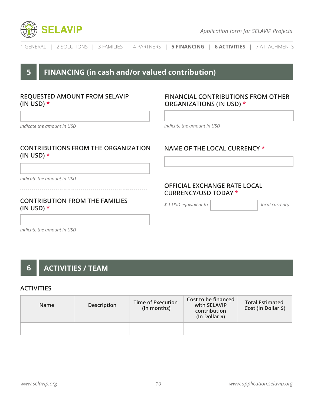

|  |  |  |  |  |  | 1 GENERAL   2 SOLUTIONS   3 FAMILIES   4 PARTNERS   <b>5 FINANCING   6 ACTIVITIES</b>   7 ATTACHMENTS |
|--|--|--|--|--|--|-------------------------------------------------------------------------------------------------------|
|--|--|--|--|--|--|-------------------------------------------------------------------------------------------------------|

### **5 FINANCING (in cash and/or valued contribution)**

### **REQUESTED AMOUNT FROM SELAVIP (IN USD) \***

### **FINANCIAL CONTRIBUTIONS FROM OTHER ORGANIZATIONS (IN USD) \***

*Indicate the amount in USD*

### **CONTRIBUTIONS FROM THE ORGANIZATION (IN USD) \***

*Indicate the amount in USD*

### **CONTRIBUTION FROM THE FAMILIES (IN USD) \***

*Indicate the amount in USD*

### **NAME OF THE LOCAL CURRENCY \***

### **OFFICIAL EXCHANGE RATE LOCAL CURRENCY/USD TODAY \***

*\$ 1 USD equivalent to local currency*

*Indicate the amount in USD*

## **6 ACTIVITIES / TEAM**

#### **ACTIVITIES**

| <b>Name</b> | Description | Time of Execution<br>(in months) | Cost to be financed<br>with SELAVIP<br>contribution<br>$(ln$ Dollar $\$)$ | <b>Total Estimated</b><br>Cost (In Dollar \$) |
|-------------|-------------|----------------------------------|---------------------------------------------------------------------------|-----------------------------------------------|
|             |             |                                  |                                                                           |                                               |